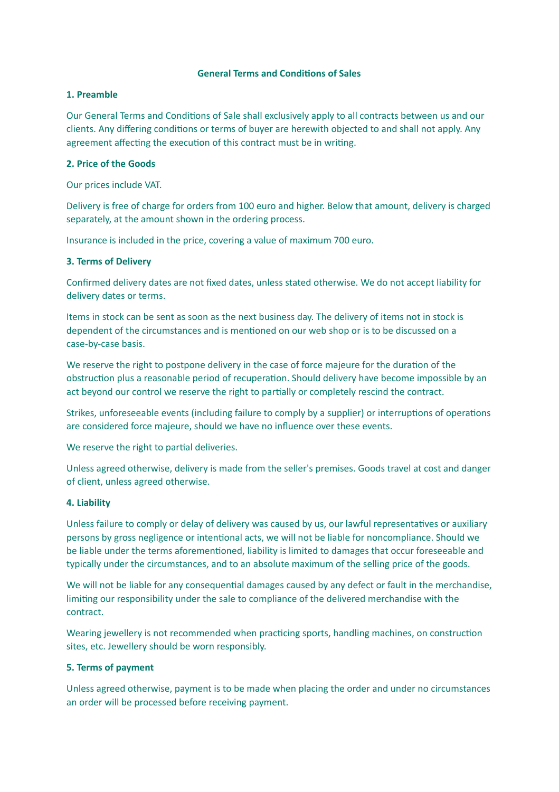## **General Terms and Condions of Sales**

#### **1. Preamble**

Our General Terms and Conditions of Sale shall exclusively apply to all contracts between us and our clients. Any differing conditions or terms of buyer are herewith objected to and shall not apply. Any agreement affecting the execution of this contract must be in writing.

#### **2. Price of the Goods**

Our prices include VAT.

Delivery is free of charge for orders from 100 euro and higher. Below that amount, delivery is charged separately, at the amount shown in the ordering process.

Insurance is included in the price, covering a value of maximum 700 euro.

#### **3. Terms of Delivery**

Confirmed delivery dates are not fixed dates, unless stated otherwise. We do not accept liability for delivery dates or terms.

Items in stock can be sent as soon as the next business day. The delivery of items not in stock is dependent of the circumstances and is mentioned on our web shop or is to be discussed on a case-by-case basis.

We reserve the right to postpone delivery in the case of force majeure for the duration of the obstruction plus a reasonable period of recuperation. Should delivery have become impossible by an act beyond our control we reserve the right to partially or completely rescind the contract.

Strikes, unforeseeable events (including failure to comply by a supplier) or interruptions of operations are considered force majeure, should we have no influence over these events.

We reserve the right to partial deliveries.

Unless agreed otherwise, delivery is made from the seller's premises. Goods travel at cost and danger of client, unless agreed otherwise.

#### **4. Liability**

Unless failure to comply or delay of delivery was caused by us, our lawful representatives or auxiliary persons by gross negligence or intentional acts, we will not be liable for noncompliance. Should we be liable under the terms aforementioned, liability is limited to damages that occur foreseeable and typically under the circumstances, and to an absolute maximum of the selling price of the goods.

We will not be liable for any consequential damages caused by any defect or fault in the merchandise, liming our responsibility under the sale to compliance of the delivered merchandise with the contract.

Wearing jewellery is not recommended when practicing sports, handling machines, on construction sites, etc. Jewellery should be worn responsibly.

## **5. Terms of payment**

Unless agreed otherwise, payment is to be made when placing the order and under no circumstances an order will be processed before receiving payment.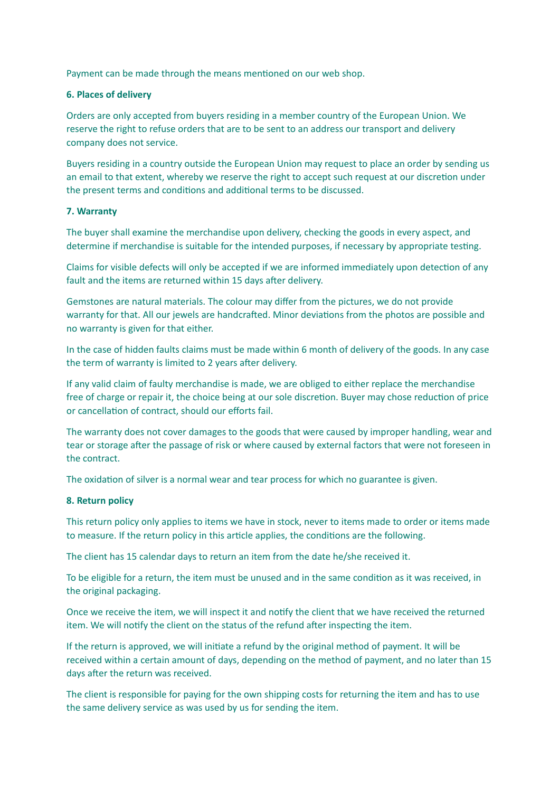Payment can be made through the means mentioned on our web shop.

# **6. Places of delivery**

Orders are only accepted from buyers residing in a member country of the European Union. We reserve the right to refuse orders that are to be sent to an address our transport and delivery company does not service.

Buyers residing in a country outside the European Union may request to place an order by sending us an email to that extent, whereby we reserve the right to accept such request at our discretion under the present terms and conditions and additional terms to be discussed.

# **7. Warranty**

The buyer shall examine the merchandise upon delivery, checking the goods in every aspect, and determine if merchandise is suitable for the intended purposes, if necessary by appropriate testing.

Claims for visible defects will only be accepted if we are informed immediately upon detection of any fault and the items are returned within 15 days after delivery.

Gemstones are natural materials. The colour may differ from the pictures, we do not provide warranty for that. All our jewels are handcrafted. Minor deviations from the photos are possible and no warranty is given for that either.

In the case of hidden faults claims must be made within 6 month of delivery of the goods. In any case the term of warranty is limited to 2 years after delivery.

If any valid claim of faulty merchandise is made, we are obliged to either replace the merchandise free of charge or repair it, the choice being at our sole discretion. Buyer may chose reduction of price or cancellation of contract, should our efforts fail.

The warranty does not cover damages to the goods that were caused by improper handling, wear and tear or storage after the passage of risk or where caused by external factors that were not foreseen in the contract.

The oxidation of silver is a normal wear and tear process for which no guarantee is given.

# **8. Return policy**

This return policy only applies to items we have in stock, never to items made to order or items made to measure. If the return policy in this article applies, the conditions are the following.

The client has 15 calendar days to return an item from the date he/she received it.

To be eligible for a return, the item must be unused and in the same condition as it was received, in the original packaging.

Once we receive the item, we will inspect it and notify the client that we have received the returned item. We will notify the client on the status of the refund after inspecting the item.

If the return is approved, we will initiate a refund by the original method of payment. It will be received within a certain amount of days, depending on the method of payment, and no later than 15 days after the return was received.

The client is responsible for paying for the own shipping costs for returning the item and has to use the same delivery service as was used by us for sending the item.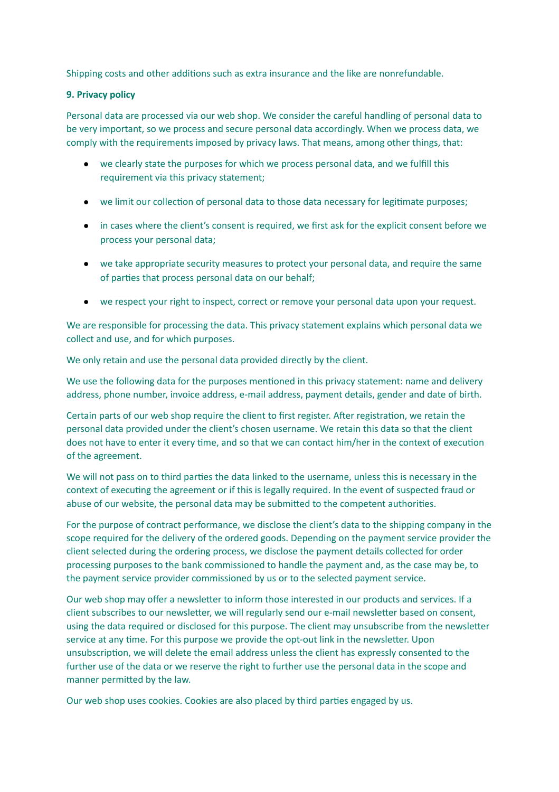Shipping costs and other additions such as extra insurance and the like are nonrefundable.

## **9. Privacy policy**

Personal data are processed via our web shop. We consider the careful handling of personal data to be very important, so we process and secure personal data accordingly. When we process data, we comply with the requirements imposed by privacy laws. That means, among other things, that:

- we clearly state the purposes for which we process personal data, and we fulfill this requirement via this privacy statement;
- we limit our collection of personal data to those data necessary for legitimate purposes;
- in cases where the client's consent is required, we first ask for the explicit consent before we process your personal data;
- we take appropriate security measures to protect your personal data, and require the same of parties that process personal data on our behalf;
- we respect your right to inspect, correct or remove your personal data upon your request.

We are responsible for processing the data. This privacy statement explains which personal data we collect and use, and for which purposes.

We only retain and use the personal data provided directly by the client.

We use the following data for the purposes mentioned in this privacy statement: name and delivery address, phone number, invoice address, e-mail address, payment details, gender and date of birth.

Certain parts of our web shop require the client to first register. After registration, we retain the personal data provided under the client's chosen username. We retain this data so that the client does not have to enter it every time, and so that we can contact him/her in the context of execution of the agreement.

We will not pass on to third parties the data linked to the username, unless this is necessary in the context of executing the agreement or if this is legally required. In the event of suspected fraud or abuse of our website, the personal data may be submitted to the competent authorities.

For the purpose of contract performance, we disclose the client's data to the shipping company in the scope required for the delivery of the ordered goods. Depending on the payment service provider the client selected during the ordering process, we disclose the payment details collected for order processing purposes to the bank commissioned to handle the payment and, as the case may be, to the payment service provider commissioned by us or to the selected payment service.

Our web shop may offer a newsletter to inform those interested in our products and services. If a client subscribes to our newsletter, we will regularly send our e-mail newsletter based on consent, using the data required or disclosed for this purpose. The client may unsubscribe from the newsletter service at any time. For this purpose we provide the opt-out link in the newsletter. Upon unsubscription, we will delete the email address unless the client has expressly consented to the further use of the data or we reserve the right to further use the personal data in the scope and manner permitted by the law.

Our web shop uses cookies. Cookies are also placed by third parties engaged by us.